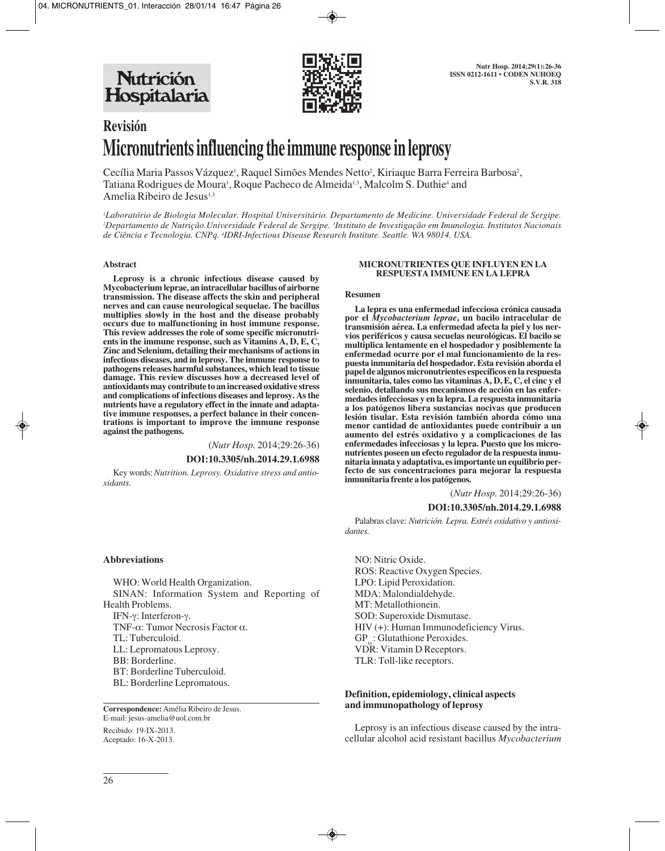Nutrición Hospitalaria



# **Revisión Micronutrients influencing the immune response in leprosy**

Cecília Maria Passos Vázquez<sup>i</sup>, Raquel Simões Mendes Netto<sup>2</sup>, Kiriaque Barra Ferreira Barbosa<sup>2</sup>, Tatiana Rodrigues de Moura<sup>1</sup>, Roque Pacheco de Almeida<sup>1,3</sup>, Malcolm S. Duthie<sup>4</sup> and Amelia Ribeiro de Jesus<sup>1,3</sup>

*1 Laboratório de Biologia Molecular. Hospital Universitário. Departamento de Medicine. Universidade Federal de Sergipe. 2 Departamento de Nutrição.Universidade Federal de Sergipe. 3 Instituto de Investigação em Imunologia. Institutos Nacionais de Ciência e Tecnologia. CNPq. 4 IDRI-Infectious Disease Research Institute. Seattle. WA 98014. USA.*

#### **Abstract**

**Leprosy is a chronic infectious disease caused by Mycobacterium leprae, an intracellular bacillus of airborne transmission. The disease affects the skin and peripheral nerves and can cause neurological sequelae. The bacillus multiplies slowly in the host and the disease probably occurs due to malfunctioning in host immune response. This review addresses the role of some specific micronutrients in the immune response, such as Vitamins A, D, E, C, Zinc and Selenium, detailing their mechanisms of actions in infectious diseases, and in leprosy. The immune response to pathogens releases harmful substances, which lead to tissue damage. This review discusses how a decreased level of antioxidants may contribute to an increased oxidative stress and complications of infectious diseases and leprosy. As the nutrients have a regulatory effect in the innate and adaptative immune responses, a perfect balance in their concentrations is important to improve the immune response against the pathogens.**

(*Nutr Hosp.* 2014;29:26-36)

#### **DOI:10.3305/nh.2014.29.1.6988**

Key words: *Nutrition. Leprosy. Oxidative stress and antioxidants.*

#### **MICRONUTRIENTES QUE INFLUYEN EN LA RESPUESTA IMMUNE EN LA LEPRA**

#### **Resumen**

**La lepra es una enfermedad infecciosa crónica causada por el** *Mycobacterium leprae***, un bacilo intracelular de transmisión aérea. La enfermedad afecta la piel y los nervios periféricos y causa secuelas neurológicas. El bacilo se multiplica lentamente en el hospedador y posiblemente la enfermedad ocurre por el mal funcionamiento de la respuesta inmunitaria del hospedador. Esta revisión aborda el papel de algunos micronutrientes específicos en la respuesta inmunitaria, tales como las vitaminas A, D, E, C, el cinc y el selenio, detallando sus mecanismos de acción en las enfermedades infecciosas y en la lepra. La respuesta inmunitaria a los patógenos libera sustancias nocivas que producen lesión tisular. Esta revisión también aborda cómo una menor cantidad de antioxidantes puede contribuir a un aumento del estrés oxidativo y a complicaciones de las enfermedades infecciosas y la lepra. Puesto que los micronutrientes poseen un efecto regulador de la respuesta inmunitaria innata y adaptativa, es importante un equilibrio perfecto de sus concentraciones para mejorar la respuesta inmunitaria frente a los patógenos.**

(*Nutr Hosp.* 2014;29:26-36)

#### **DOI:10.3305/nh.2014.29.1.6988**

Palabras clave: *Nutrición. Lepra. Estrés oxidativo y antioxidantes.*

NO: Nitric Oxide. ROS: Reactive Oxygen Species. LPO: Lipid Peroxidation. MDA: Malondialdehyde. MT: Metallothionein. SOD: Superoxide Dismutase. HIV (+): Human Immunodeficiency Virus. GP : Glutathione Peroxides. VDR: Vitamin D Receptors. TLR: Toll-like receptors.

## **Definition, epidemiology, clinical aspects and immunopathology of leprosy**

Leprosy is an infectious disease caused by the intracellular alcohol acid resistant bacillus *Mycobacterium*

## **Abbreviations**

WHO: World Health Organization. SINAN: Information System and Reporting of Health Problems. IFN-γ: Interferon-γ.

TNF-α: Tumor Necrosis Factor α.

TL: Tuberculoid.

LL: Lepromatous Leprosy.

BB: Borderline.

BT: Borderline Tuberculoid.

BL: Borderline Lepromatous.

**Correspondence:** Amélia Ribeiro de Jesus. E-mail: jesus-amelia@uol.com.br

Recibido: 19-IX-2013. Aceptado: 16-X-2013.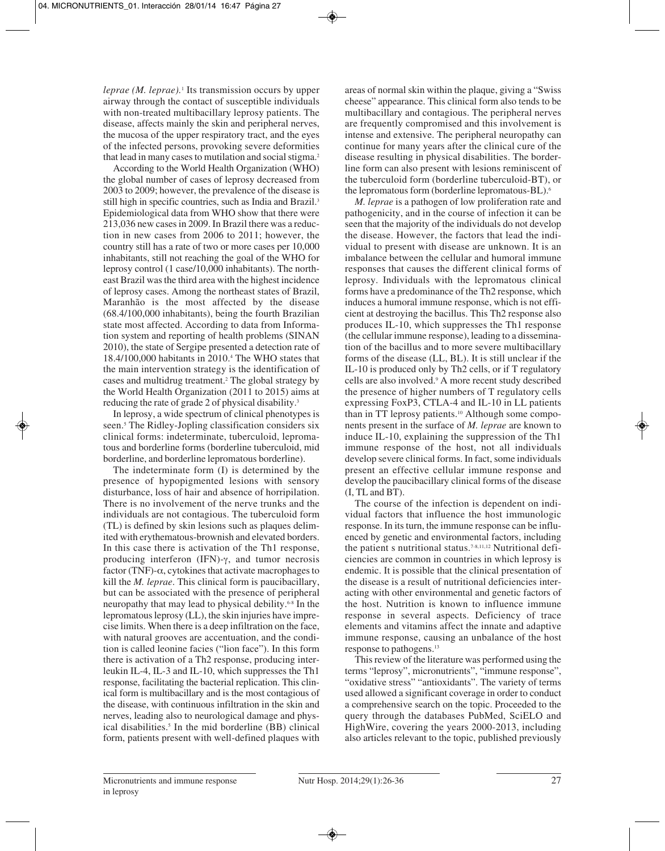*leprae* (*M. leprae*).<sup>1</sup> Its transmission occurs by upper airway through the contact of susceptible individuals with non-treated multibacillary leprosy patients. The disease, affects mainly the skin and peripheral nerves, the mucosa of the upper respiratory tract, and the eyes of the infected persons, provoking severe deformities that lead in many cases to mutilation and social stigma.<sup>2</sup>

According to the World Health Organization (WHO) the global number of cases of leprosy decreased from 2003 to 2009; however, the prevalence of the disease is still high in specific countries, such as India and Brazil.<sup>3</sup> Epidemiological data from WHO show that there were 213,036 new cases in 2009. In Brazil there was a reduction in new cases from 2006 to 2011; however, the country still has a rate of two or more cases per 10,000 inhabitants, still not reaching the goal of the WHO for leprosy control (1 case/10,000 inhabitants). The northeast Brazil was the third area with the highest incidence of leprosy cases. Among the northeast states of Brazil, Maranhão is the most affected by the disease (68.4/100,000 inhabitants), being the fourth Brazilian state most affected. According to data from Information system and reporting of health problems (SINAN 2010), the state of Sergipe presented a detection rate of 18.4/100,000 habitants in 2010.4 The WHO states that the main intervention strategy is the identification of cases and multidrug treatment.2 The global strategy by the World Health Organization (2011 to 2015) aims at reducing the rate of grade 2 of physical disability.3

In leprosy, a wide spectrum of clinical phenotypes is seen.<sup>5</sup> The Ridley-Jopling classification considers six clinical forms: indeterminate, tuberculoid, lepromatous and borderline forms (borderline tuberculoid, mid borderline, and borderline lepromatous borderline).

The indeterminate form (I) is determined by the presence of hypopigmented lesions with sensory disturbance, loss of hair and absence of horripilation. There is no involvement of the nerve trunks and the individuals are not contagious. The tuberculoid form (TL) is defined by skin lesions such as plaques delimited with erythematous-brownish and elevated borders. In this case there is activation of the Th1 response, producing interferon (IFN)-γ, and tumor necrosis factor (TNF)- $\alpha$ , cytokines that activate macrophages to kill the *M. leprae*. This clinical form is paucibacillary, but can be associated with the presence of peripheral neuropathy that may lead to physical debility.6-8 In the lepromatous leprosy (LL), the skin injuries have imprecise limits. When there is a deep infiltration on the face, with natural grooves are accentuation, and the condition is called leonine facies ("lion face"). In this form there is activation of a Th2 response, producing interleukin IL-4, IL-3 and IL-10, which suppresses the Th1 response, facilitating the bacterial replication. This clinical form is multibacillary and is the most contagious of the disease, with continuous infiltration in the skin and nerves, leading also to neurological damage and physical disabilities.<sup>5</sup> In the mid borderline (BB) clinical form, patients present with well-defined plaques with

areas of normal skin within the plaque, giving a "Swiss cheese" appearance. This clinical form also tends to be multibacillary and contagious. The peripheral nerves are frequently compromised and this involvement is intense and extensive. The peripheral neuropathy can continue for many years after the clinical cure of the disease resulting in physical disabilities. The borderline form can also present with lesions reminiscent of the tuberculoid form (borderline tuberculoid-BT), or the lepromatous form (borderline lepromatous-BL).6

*M. leprae* is a pathogen of low proliferation rate and pathogenicity, and in the course of infection it can be seen that the majority of the individuals do not develop the disease. However, the factors that lead the individual to present with disease are unknown. It is an imbalance between the cellular and humoral immune responses that causes the different clinical forms of leprosy. Individuals with the lepromatous clinical forms have a predominance of the Th2 response, which induces a humoral immune response, which is not efficient at destroying the bacillus. This Th2 response also produces IL-10, which suppresses the Th1 response (the cellular immune response), leading to a dissemination of the bacillus and to more severe multibacillary forms of the disease (LL, BL). It is still unclear if the IL-10 is produced only by Th2 cells, or if T regulatory cells are also involved.9 A more recent study described the presence of higher numbers of T regulatory cells expressing FoxP3, CTLA-4 and IL-10 in LL patients than in TT leprosy patients.10 Although some components present in the surface of *M. leprae* are known to induce IL-10, explaining the suppression of the Th1 immune response of the host, not all individuals develop severe clinical forms. In fact, some individuals present an effective cellular immune response and develop the paucibacillary clinical forms of the disease (I, TL and BT).

The course of the infection is dependent on individual factors that influence the host immunologic response. In its turn, the immune response can be influenced by genetic and environmental factors, including the patient s nutritional status.<sup>7-8,11,12</sup> Nutritional deficiencies are common in countries in which leprosy is endemic. It is possible that the clinical presentation of the disease is a result of nutritional deficiencies interacting with other environmental and genetic factors of the host. Nutrition is known to influence immune response in several aspects. Deficiency of trace elements and vitamins affect the innate and adaptive immune response, causing an unbalance of the host response to pathogens.13

This review of the literature was performed using the terms "leprosy", micronutrients", "immune response", "oxidative stress" "antioxidants". The variety of terms used allowed a significant coverage in order to conduct a comprehensive search on the topic. Proceeded to the query through the databases PubMed, SciELO and HighWire, covering the years 2000-2013, including also articles relevant to the topic, published previously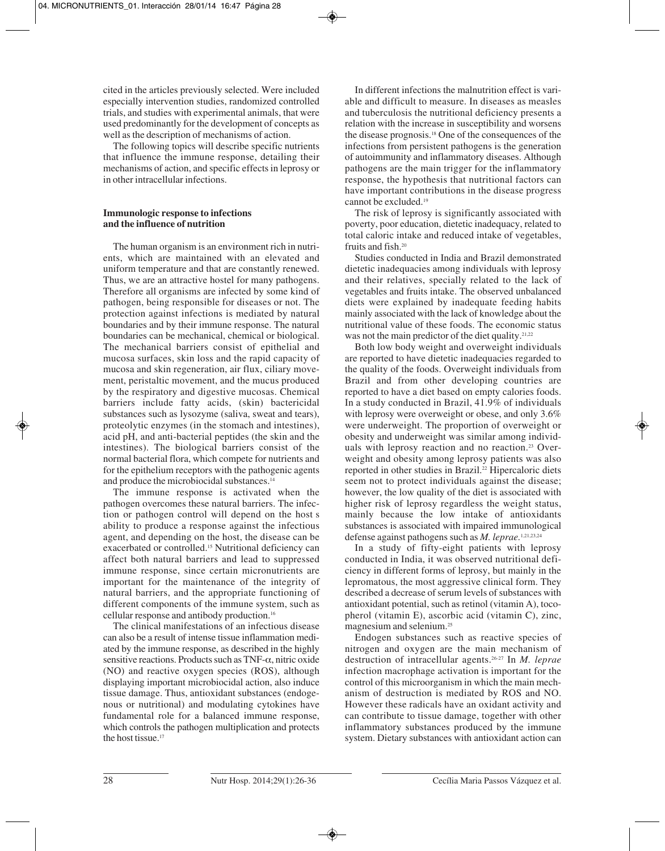cited in the articles previously selected. Were included especially intervention studies, randomized controlled trials, and studies with experimental animals, that were used predominantly for the development of concepts as well as the description of mechanisms of action.

The following topics will describe specific nutrients that influence the immune response, detailing their mechanisms of action, and specific effects in leprosy or in other intracellular infections.

# **Immunologic response to infections and the influence of nutrition**

The human organism is an environment rich in nutrients, which are maintained with an elevated and uniform temperature and that are constantly renewed. Thus, we are an attractive hostel for many pathogens. Therefore all organisms are infected by some kind of pathogen, being responsible for diseases or not. The protection against infections is mediated by natural boundaries and by their immune response. The natural boundaries can be mechanical, chemical or biological. The mechanical barriers consist of epithelial and mucosa surfaces, skin loss and the rapid capacity of mucosa and skin regeneration, air flux, ciliary movement, peristaltic movement, and the mucus produced by the respiratory and digestive mucosas. Chemical barriers include fatty acids, (skin) bactericidal substances such as lysozyme (saliva, sweat and tears), proteolytic enzymes (in the stomach and intestines), acid pH, and anti-bacterial peptides (the skin and the intestines). The biological barriers consist of the normal bacterial flora, which compete for nutrients and for the epithelium receptors with the pathogenic agents and produce the microbiocidal substances.<sup>14</sup>

The immune response is activated when the pathogen overcomes these natural barriers. The infection or pathogen control will depend on the host s ability to produce a response against the infectious agent, and depending on the host, the disease can be exacerbated or controlled.15 Nutritional deficiency can affect both natural barriers and lead to suppressed immune response, since certain micronutrients are important for the maintenance of the integrity of natural barriers, and the appropriate functioning of different components of the immune system, such as cellular response and antibody production.16

The clinical manifestations of an infectious disease can also be a result of intense tissue inflammation mediated by the immune response, as described in the highly sensitive reactions. Products such as TNF-α, nitric oxide (NO) and reactive oxygen species (ROS), although displaying important microbiocidal action, also induce tissue damage. Thus, antioxidant substances (endogenous or nutritional) and modulating cytokines have fundamental role for a balanced immune response, which controls the pathogen multiplication and protects the host tissue.<sup>17</sup>

In different infections the malnutrition effect is variable and difficult to measure. In diseases as measles and tuberculosis the nutritional deficiency presents a relation with the increase in susceptibility and worsens the disease prognosis.18 One of the consequences of the infections from persistent pathogens is the generation of autoimmunity and inflammatory diseases. Although pathogens are the main trigger for the inflammatory response, the hypothesis that nutritional factors can have important contributions in the disease progress cannot be excluded.19

The risk of leprosy is significantly associated with poverty, poor education, dietetic inadequacy, related to total caloric intake and reduced intake of vegetables, fruits and fish.20

Studies conducted in India and Brazil demonstrated dietetic inadequacies among individuals with leprosy and their relatives, specially related to the lack of vegetables and fruits intake. The observed unbalanced diets were explained by inadequate feeding habits mainly associated with the lack of knowledge about the nutritional value of these foods. The economic status was not the main predictor of the diet quality.<sup>21,22</sup>

Both low body weight and overweight individuals are reported to have dietetic inadequacies regarded to the quality of the foods. Overweight individuals from Brazil and from other developing countries are reported to have a diet based on empty calories foods. In a study conducted in Brazil, 41.9% of individuals with leprosy were overweight or obese, and only 3.6% were underweight. The proportion of overweight or obesity and underweight was similar among individuals with leprosy reaction and no reaction.<sup>23</sup> Overweight and obesity among leprosy patients was also reported in other studies in Brazil.<sup>22</sup> Hipercaloric diets seem not to protect individuals against the disease; however, the low quality of the diet is associated with higher risk of leprosy regardless the weight status, mainly because the low intake of antioxidants substances is associated with impaired immunological defense against pathogens such as *M. leprae.*1,21,23,24

In a study of fifty-eight patients with leprosy conducted in India, it was observed nutritional deficiency in different forms of leprosy, but mainly in the lepromatous, the most aggressive clinical form. They described a decrease of serum levels of substances with antioxidant potential, such as retinol (vitamin A), tocopherol (vitamin E), ascorbic acid (vitamin C), zinc, magnesium and selenium.25

Endogen substances such as reactive species of nitrogen and oxygen are the main mechanism of destruction of intracellular agents.26-27 In *M. leprae* infection macrophage activation is important for the control of this microorganism in which the main mechanism of destruction is mediated by ROS and NO. However these radicals have an oxidant activity and can contribute to tissue damage, together with other inflammatory substances produced by the immune system. Dietary substances with antioxidant action can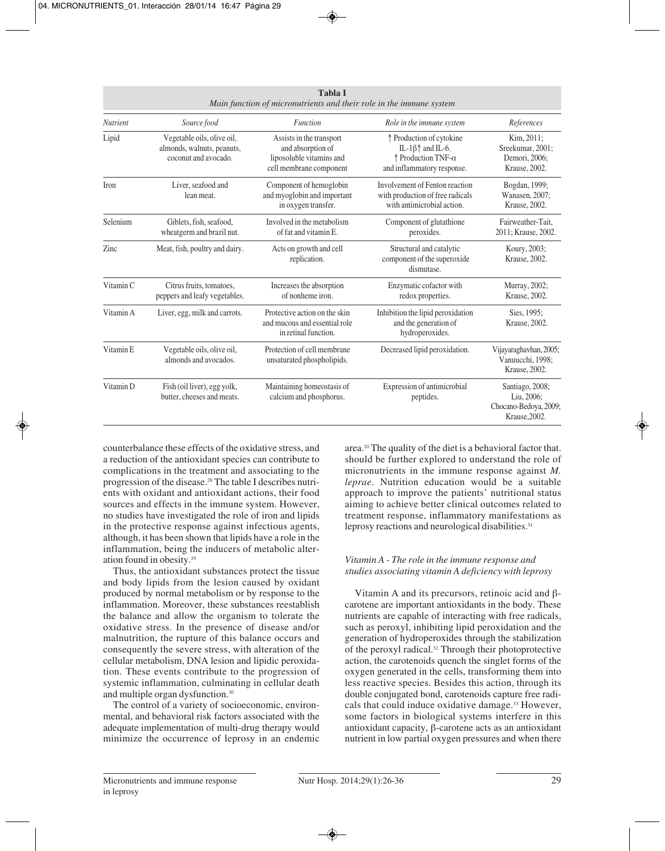| <b>Tabla I</b><br>Main function of micronutrients and their role in the immune system |                                                                                  |                                                                                                      |                                                                                                                   |                                                                         |
|---------------------------------------------------------------------------------------|----------------------------------------------------------------------------------|------------------------------------------------------------------------------------------------------|-------------------------------------------------------------------------------------------------------------------|-------------------------------------------------------------------------|
| <b>Nutrient</b>                                                                       | Source food                                                                      | <b>Function</b>                                                                                      | Role in the immune system                                                                                         | References                                                              |
| Lipid                                                                                 | Vegetable oils, olive oil,<br>almonds, walnuts, peanuts,<br>coconut and avocado. | Assists in the transport<br>and absorption of<br>liposoluble vitamins and<br>cell membrane component | ↑ Production of cytokine<br>IL-1 $\beta$ $\uparrow$ and IL-6.<br>↑ Production TNF-α<br>and inflammatory response. | Kim, 2011;<br>Sreekumar, 2001;<br>Demori, 2006;<br>Krause, 2002.        |
| Iron                                                                                  | Liver, seafood and<br>lean meat.                                                 | Component of hemoglobin<br>and myoglobin and important<br>in oxygen transfer.                        | Involvement of Fenton reaction<br>with production of free radicals<br>with antimicrobial action.                  | Bogdan, 1999;<br>Wanasen, 2007;<br>Krause, 2002.                        |
| Selenium                                                                              | Giblets, fish, seafood,<br>wheatgerm and brazil nut.                             | Involved in the metabolism<br>of fat and vitamin E.                                                  | Component of glutathione<br>peroxides.                                                                            | Fairweather-Tait,<br>2011; Krause, 2002.                                |
| Zinc                                                                                  | Meat, fish, poultry and dairy.                                                   | Acts on growth and cell<br>replication.                                                              | Structural and catalytic<br>component of the superoxide<br>dismutase.                                             | Koury, 2003;<br>Krause, 2002.                                           |
| Vitamin C                                                                             | Citrus fruits, tomatoes,<br>peppers and leafy vegetables.                        | Increases the absorption<br>of nonheme iron.                                                         | Enzymatic cofactor with<br>redox properties.                                                                      | Murray, 2002;<br>Krause, 2002.                                          |
| Vitamin A                                                                             | Liver, egg, milk and carrots.                                                    | Protective action on the skin<br>and mucous and essential role<br>in retinal function.               | Inhibition the lipid peroxidation<br>and the generation of<br>hydroperoxides.                                     | Sies, 1995;<br>Krause, 2002.                                            |
| Vitamin E                                                                             | Vegetable oils, olive oil,<br>almonds and avocados.                              | Protection of cell membrane<br>unsaturated phospholipids.                                            | Decreased lipid peroxidation.                                                                                     | Vijayaraghavhan, 2005;<br>Vanuucchi, 1998;<br>Krause, 2002.             |
| Vitamin D                                                                             | Fish (oil liver), egg yolk,<br>butter, cheeses and meats.                        | Maintaining homeostasis of<br>calcium and phosphorus.                                                | Expression of antimicrobial<br>peptides.                                                                          | Santiago, 2008;<br>Liu, 2006;<br>Chocano-Bedoya, 2009;<br>Krause, 2002. |

counterbalance these effects of the oxidative stress, and a reduction of the antioxidant species can contribute to complications in the treatment and associating to the progression of the disease.28 The table I describes nutrients with oxidant and antioxidant actions, their food sources and effects in the immune system. However, no studies have investigated the role of iron and lipids in the protective response against infectious agents, although, it has been shown that lipids have a role in the inflammation, being the inducers of metabolic alteration found in obesity.29

Thus, the antioxidant substances protect the tissue and body lipids from the lesion caused by oxidant produced by normal metabolism or by response to the inflammation. Moreover, these substances reestablish the balance and allow the organism to tolerate the oxidative stress. In the presence of disease and/or malnutrition, the rupture of this balance occurs and consequently the severe stress, with alteration of the cellular metabolism, DNA lesion and lipidic peroxidation. These events contribute to the progression of systemic inflammation, culminating in cellular death and multiple organ dysfunction.30

The control of a variety of socioeconomic, environmental, and behavioral risk factors associated with the adequate implementation of multi-drug therapy would minimize the occurrence of leprosy in an endemic area.20 The quality of the diet is a behavioral factor that. should be further explored to understand the role of micronutrients in the immune response against *M. leprae*. Nutrition education would be a suitable approach to improve the patients' nutritional status aiming to achieve better clinical outcomes related to treatment response, inflammatory manifestations as leprosy reactions and neurological disabilities.<sup>31</sup>

# *Vitamin A - The role in the immune response and studies associating vitamin A deficiency with leprosy*

Vitamin A and its precursors, retinoic acid and βcarotene are important antioxidants in the body. These nutrients are capable of interacting with free radicals, such as peroxyl, inhibiting lipid peroxidation and the generation of hydroperoxides through the stabilization of the peroxyl radical.32 Through their photoprotective action, the carotenoids quench the singlet forms of the oxygen generated in the cells, transforming them into less reactive species. Besides this action, through its double conjugated bond, carotenoids capture free radicals that could induce oxidative damage.33 However, some factors in biological systems interfere in this antioxidant capacity, β-carotene acts as an antioxidant nutrient in low partial oxygen pressures and when there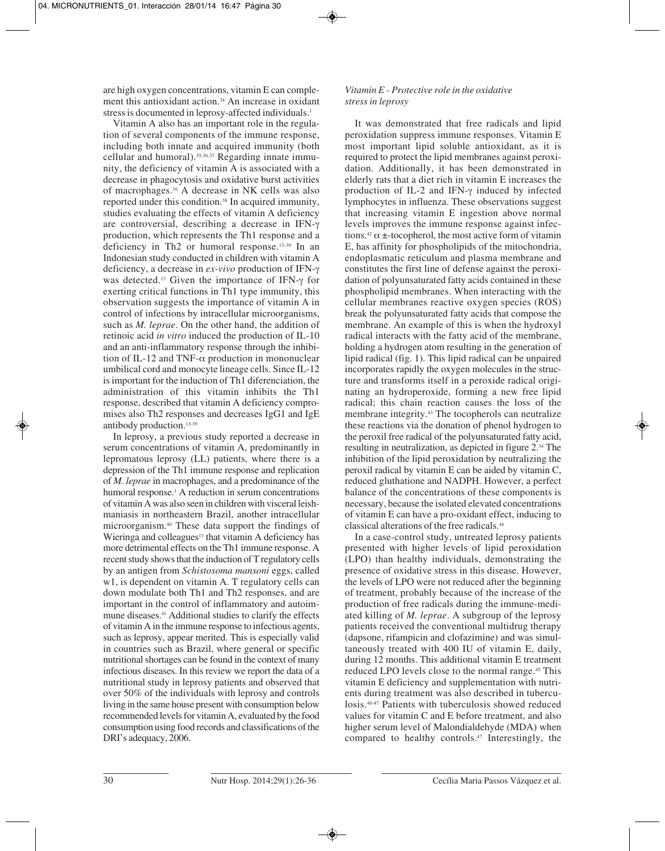are high oxygen concentrations, vitamin E can complement this antioxidant action.<sup>34</sup> An increase in oxidant stress is documented in leprosy-affected individuals.<sup>1</sup>

Vitamin A also has an important role in the regulation of several components of the immune response, including both innate and acquired immunity (both cellular and humoral).<sup>35,36,37</sup> Regarding innate immunity, the deficiency of vitamin A is associated with a decrease in phagocytosis and oxidative burst activities of macrophages.16 A decrease in NK cells was also reported under this condition.<sup>38</sup> In acquired immunity, studies evaluating the effects of vitamin A deficiency are controversial, describing a decrease in IFN-γ production, which represents the Th1 response and a deficiency in Th2 or humoral response.13-39 In an Indonesian study conducted in children with vitamin A deficiency, a decrease in *ex-vivo* production of IFN-γ was detected.13 Given the importance of IFN-γ for exerting critical functions in Th1 type immunity, this observation suggests the importance of vitamin A in control of infections by intracellular microorganisms, such as *M. leprae*. On the other hand, the addition of retinoic acid *in vitro* induced the production of IL-10 and an anti-inflammatory response through the inhibition of IL-12 and TNF- $\alpha$  production in mononuclear umbilical cord and monocyte lineage cells. Since IL-12 is important for the induction of Th1 diferenciation, the administration of this vitamin inhibits the Th1 response, described that vitamin A deficiency compromises also Th2 responses and decreases IgG1 and IgE antibody production.13-39

In leprosy, a previous study reported a decrease in serum concentrations of vitamin A, predominantly in lepromatous leprosy (LL) patients, where there is a depression of the Th1 immune response and replication of *M. leprae* in macrophages, and a predominance of the humoral response.<sup>1</sup> A reduction in serum concentrations of vitamin A was also seen in children with visceral leishmaniasis in northeastern Brazil, another intracellular microorganism.40 These data support the findings of Wieringa and colleagues<sup>13</sup> that vitamin A deficiency has more detrimental effects on the Th1 immune response. A recent study shows that the induction of T regulatory cells by an antigen from *Schistosoma mansoni* eggs, called w1, is dependent on vitamin A. T regulatory cells can down modulate both Th1 and Th2 responses, and are important in the control of inflammatory and autoimmune diseases.<sup>41</sup> Additional studies to clarify the effects of vitamin A in the immune response to infectious agents, such as leprosy, appear merited. This is especially valid in countries such as Brazil, where general or specific nutritional shortages can be found in the context of many infectious diseases. In this review we report the data of a nutritional study in leprosy patients and observed that over 50% of the individuals with leprosy and controls living in the same house present with consumption below recommended levels for vitamin A, evaluated by the food consumption using food records and classifications of the DRI's adequacy, 2006.

# *Vitamin E - Protective role in the oxidative stress in leprosy*

It was demonstrated that free radicals and lipid peroxidation suppress immune responses. Vitamin E most important lipid soluble antioxidant, as it is required to protect the lipid membranes against peroxidation. Additionally, it has been demonstrated in elderly rats that a diet rich in vitamin E increases the production of IL-2 and IFN-γ induced by infected lymphocytes in influenza. These observations suggest that increasing vitamin E ingestion above normal levels improves the immune response against infections.<sup>42</sup>  $\alpha$  ±-tocopherol, the most active form of vitamin E, has affinity for phospholipids of the mitochondria, endoplasmatic reticulum and plasma membrane and constitutes the first line of defense against the peroxidation of polyunsaturated fatty acids contained in these phospholipid membranes. When interacting with the cellular membranes reactive oxygen species (ROS) break the polyunsaturated fatty acids that compose the membrane. An example of this is when the hydroxyl radical interacts with the fatty acid of the membrane, holding a hydrogen atom resulting in the generation of lipid radical (fig. 1). This lipid radical can be unpaired incorporates rapidly the oxygen molecules in the structure and transforms itself in a peroxide radical originating an hydroperoxide, forming a new free lipid radical; this chain reaction causes the loss of the membrane integrity.43 The tocopherols can neutralize these reactions via the donation of phenol hydrogen to the peroxil free radical of the polyunsaturated fatty acid, resulting in neutralization, as depicted in figure 2.34 The inhibition of the lipid peroxidation by neutralizing the peroxil radical by vitamin E can be aided by vitamin C, reduced gluthatione and NADPH. However, a perfect balance of the concentrations of these components is necessary, because the isolated elevated concentrations of vitamin E can have a pro-oxidant effect, inducing to classical alterations of the free radicals.44

In a case-control study, untreated leprosy patients presented with higher levels of lipid peroxidation (LPO) than healthy individuals, demonstrating the presence of oxidative stress in this disease. However, the levels of LPO were not reduced after the beginning of treatment, probably because of the increase of the production of free radicals during the immune-mediated killing of *M. leprae*. A subgroup of the leprosy patients received the conventional multidrug therapy (dapsone, rifampicin and clofazimine) and was simultaneously treated with 400 IU of vitamin E, daily, during 12 months. This additional vitamin E treatment reduced LPO levels close to the normal range.<sup>45</sup> This vitamin E deficiency and supplementation with nutrients during treatment was also described in tuberculosis.46-47 Patients with tuberculosis showed reduced values for vitamin C and E before treatment, and also higher serum level of Malondialdehyde (MDA) when compared to healthy controls.<sup>47</sup> Interestingly, the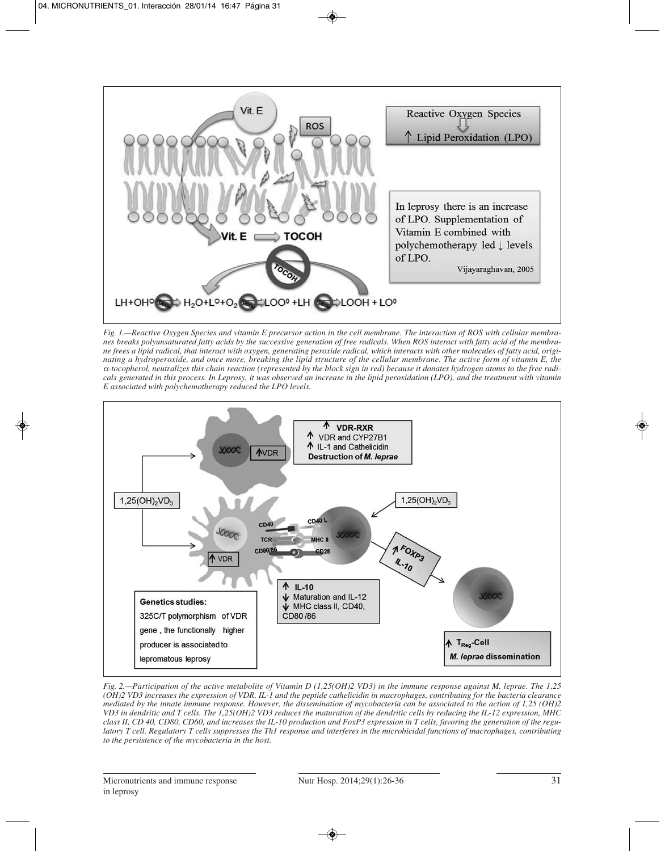

*Fig. 1.—Reactive Oxygen Species and vitamin E precursor action in the cell membrane. The interaction of ROS with cellular membranes breaks polyunsaturated fatty acids by the successive generation of free radicals. When ROS interact with fatty acid of the membrane frees a lipid radical, that interact with oxygen, generating peroxide radical, which interacts with other molecules of fatty acid, originating a hydroperoxide, and once more, breaking the lipid structure of the cellular membrane. The active form of vitamin E, the* α*-tocopherol, neutralizes this chain reaction (represented by the block sign in red) because it donates hydrogen atoms to the free radicals generated in this process. In Leprosy, it was observed an increase in the lipid peroxidation (LPO), and the treatment with vitamin E associated with polychemotherapy reduced the LPO levels.*



*Fig. 2.—Participation of the active metabolite of Vitamin D (1,25(OH)2 VD3) in the immune response against M. leprae. The 1,25 (OH)2 VD3 increases the expression of VDR, IL-1 and the peptide cathelicidin in macrophages, contributing for the bacteria clearance mediated by the innate immune response. However, the dissemination of mycobacteria can be associated to the action of 1,25 (OH)2 VD3 in dendritic and T cells. The 1,25(OH)2 VD3 reduces the maturation of the dendritic cells by reducing the IL-12 expression, MHC class II, CD 40, CD80, CD60, and increases the IL-10 production and FoxP3 expression in T cells, favoring the generation of the regulatory T cell. Regulatory T cells suppresses the Th1 response and interferes in the microbicidal functions of macrophages, contributing to the persistence of the mycobacteria in the host.*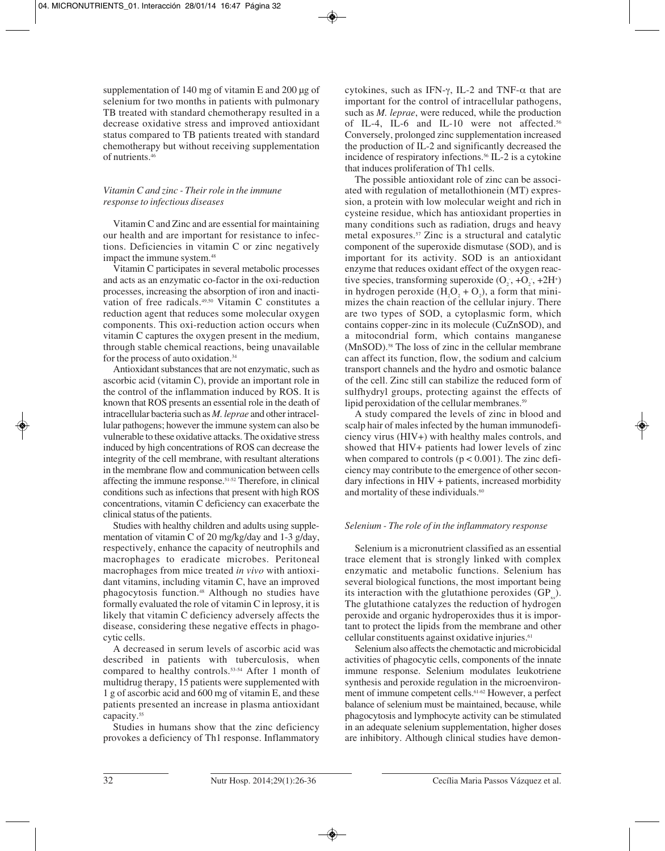supplementation of 140 mg of vitamin E and 200 µg of selenium for two months in patients with pulmonary TB treated with standard chemotherapy resulted in a decrease oxidative stress and improved antioxidant status compared to TB patients treated with standard chemotherapy but without receiving supplementation of nutrients.46

# *Vitamin C and zinc - Their role in the immune response to infectious diseases*

Vitamin C and Zinc and are essential for maintaining our health and are important for resistance to infections. Deficiencies in vitamin C or zinc negatively impact the immune system.<sup>48</sup>

Vitamin C participates in several metabolic processes and acts as an enzymatic co-factor in the oxi-reduction processes, increasing the absorption of iron and inactivation of free radicals.49,50 Vitamin C constitutes a reduction agent that reduces some molecular oxygen components. This oxi-reduction action occurs when vitamin C captures the oxygen present in the medium, through stable chemical reactions, being unavailable for the process of auto oxidation.34

Antioxidant substances that are not enzymatic, such as ascorbic acid (vitamin C), provide an important role in the control of the inflammation induced by ROS. It is known that ROS presents an essential role in the death of intracellular bacteria such as *M. leprae* and other intracellular pathogens; however the immune system can also be vulnerable to these oxidative attacks. The oxidative stress induced by high concentrations of ROS can decrease the integrity of the cell membrane, with resultant alterations in the membrane flow and communication between cells affecting the immune response.51-52 Therefore, in clinical conditions such as infections that present with high ROS concentrations, vitamin C deficiency can exacerbate the clinical status of the patients.

Studies with healthy children and adults using supplementation of vitamin C of 20 mg/kg/day and 1-3 g/day, respectively, enhance the capacity of neutrophils and macrophages to eradicate microbes. Peritoneal macrophages from mice treated *in vivo* with antioxidant vitamins, including vitamin C, have an improved phagocytosis function.48 Although no studies have formally evaluated the role of vitamin C in leprosy, it is likely that vitamin C deficiency adversely affects the disease, considering these negative effects in phagocytic cells.

A decreased in serum levels of ascorbic acid was described in patients with tuberculosis, when compared to healthy controls.53-54 After 1 month of multidrug therapy, 15 patients were supplemented with 1 g of ascorbic acid and 600 mg of vitamin E, and these patients presented an increase in plasma antioxidant capacity.<sup>55</sup>

Studies in humans show that the zinc deficiency provokes a deficiency of Th1 response. Inflammatory cytokines, such as IFN-γ, IL-2 and TNF-α that are important for the control of intracellular pathogens, such as *M. leprae*, were reduced, while the production of IL-4, IL-6 and IL-10 were not affected.<sup>56</sup> Conversely, prolonged zinc supplementation increased the production of IL-2 and significantly decreased the incidence of respiratory infections.<sup>56</sup> IL-2 is a cytokine that induces proliferation of Th1 cells.

The possible antioxidant role of zinc can be associated with regulation of metallothionein (MT) expression, a protein with low molecular weight and rich in cysteine residue, which has antioxidant properties in many conditions such as radiation, drugs and heavy metal exposures.57 Zinc is a structural and catalytic component of the superoxide dismutase (SOD), and is important for its activity. SOD is an antioxidant enzyme that reduces oxidant effect of the oxygen reactive species, transforming superoxide  $(O_2, +O_2, +2H^+)$ in hydrogen peroxide  $(H_2O_2 + O_2)$ , a form that minimizes the chain reaction of the cellular injury. There are two types of SOD, a cytoplasmic form, which contains copper-zinc in its molecule (CuZnSOD), and a mitocondrial form, which contains manganese (MnSOD).58 The loss of zinc in the cellular membrane can affect its function, flow, the sodium and calcium transport channels and the hydro and osmotic balance of the cell. Zinc still can stabilize the reduced form of sulfhydryl groups, protecting against the effects of lipid peroxidation of the cellular membranes.<sup>59</sup>

A study compared the levels of zinc in blood and scalp hair of males infected by the human immunodeficiency virus (HIV+) with healthy males controls, and showed that HIV+ patients had lower levels of zinc when compared to controls  $(p < 0.001)$ . The zinc deficiency may contribute to the emergence of other secondary infections in HIV + patients, increased morbidity and mortality of these individuals.<sup>60</sup>

# *Selenium - The role of in the inflammatory response*

Selenium is a micronutrient classified as an essential trace element that is strongly linked with complex enzymatic and metabolic functions. Selenium has several biological functions, the most important being its interaction with the glutathione peroxides  $(GP)$ . The glutathione catalyzes the reduction of hydrogen peroxide and organic hydroperoxides thus it is important to protect the lipids from the membrane and other cellular constituents against oxidative injuries.<sup>61</sup>

Selenium also affects the chemotactic and microbicidal activities of phagocytic cells, components of the innate immune response. Selenium modulates leukotriene synthesis and peroxide regulation in the microenvironment of immune competent cells.61-62 However, a perfect balance of selenium must be maintained, because, while phagocytosis and lymphocyte activity can be stimulated in an adequate selenium supplementation, higher doses are inhibitory. Although clinical studies have demon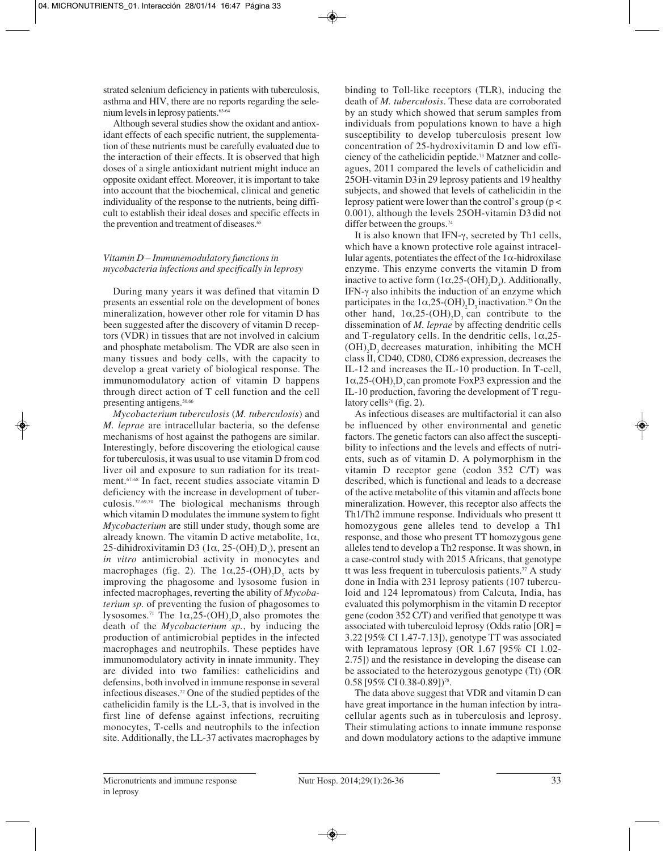strated selenium deficiency in patients with tuberculosis, asthma and HIV, there are no reports regarding the selenium levels in leprosy patients.<sup>63-64</sup>

Although several studies show the oxidant and antioxidant effects of each specific nutrient, the supplementation of these nutrients must be carefully evaluated due to the interaction of their effects. It is observed that high doses of a single antioxidant nutrient might induce an opposite oxidant effect. Moreover, it is important to take into account that the biochemical, clinical and genetic individuality of the response to the nutrients, being difficult to establish their ideal doses and specific effects in the prevention and treatment of diseases.<sup>65</sup>

# *Vitamin D – Immunemodulatory functions in mycobacteria infections and specifically in leprosy*

During many years it was defined that vitamin D presents an essential role on the development of bones mineralization, however other role for vitamin D has been suggested after the discovery of vitamin D receptors (VDR) in tissues that are not involved in calcium and phosphate metabolism. The VDR are also seen in many tissues and body cells, with the capacity to develop a great variety of biological response. The immunomodulatory action of vitamin D happens through direct action of T cell function and the cell presenting antigens.<sup>50,66</sup>

*Mycobacterium tuberculosis* (*M. tuberculosis*) and *M. leprae* are intracellular bacteria, so the defense mechanisms of host against the pathogens are similar. Interestingly, before discovering the etiological cause for tuberculosis, it was usual to use vitamin D from cod liver oil and exposure to sun radiation for its treatment.67-68 In fact, recent studies associate vitamin D deficiency with the increase in development of tuberculosis.37,69,70 The biological mechanisms through which vitamin D modulates the immune system to fight *Mycobacterium* are still under study, though some are already known. The vitamin D active metabolite,  $1\alpha$ , 25-dihidroxivitamin D3 ( $1\alpha$ , 25-(OH)<sub>2</sub>D<sub>3</sub>), present an *in vitro* antimicrobial activity in monocytes and macrophages (fig. 2). The  $1\alpha, 25$ -(OH)<sub>2</sub>D<sub>3</sub> acts by improving the phagosome and lysosome fusion in infected macrophages, reverting the ability of *Mycobaterium sp.* of preventing the fusion of phagosomes to lysosomes.<sup>71</sup> The  $1\alpha, 25$ -(OH)<sub>2</sub>D<sub>3</sub> also promotes the death of the *Mycobacterium sp.*, by inducing the production of antimicrobial peptides in the infected macrophages and neutrophils. These peptides have immunomodulatory activity in innate immunity. They are divided into two families: cathelicidins and defensins, both involved in immune response in several infectious diseases.72 One of the studied peptides of the cathelicidin family is the LL-3, that is involved in the first line of defense against infections, recruiting monocytes, T-cells and neutrophils to the infection site. Additionally, the LL-37 activates macrophages by

binding to Toll-like receptors (TLR), inducing the death of *M. tuberculosis*. These data are corroborated by an study which showed that serum samples from individuals from populations known to have a high susceptibility to develop tuberculosis present low concentration of 25-hydroxivitamin D and low efficiency of the cathelicidin peptide.73 Matzner and colleagues, 2011 compared the levels of cathelicidin and 25OH-vitamin D3in 29 leprosy patients and 19 healthy subjects, and showed that levels of cathelicidin in the leprosy patient were lower than the control's group ( $p <$ 0.001), although the levels 25OH-vitamin D3 did not differ between the groups.<sup>74</sup>

It is also known that IFN-γ, secreted by Th1 cells, which have a known protective role against intracellular agents, potentiates the effect of the  $1\alpha$ -hidroxilase enzyme. This enzyme converts the vitamin D from inactive to active form  $(1\alpha, 25\text{-} (OH)_2\text{D}_3)$ . Additionally, IFN-γ also inhibits the induction of an enzyme which participates in the  $1\alpha, 25$ -(OH)<sub>2</sub>D<sub>3</sub> inactivation.<sup>75</sup> On the other hand,  $1\alpha, 25-(OH)_2D_3$  can contribute to the dissemination of *M. leprae* by affecting dendritic cells and T-regulatory cells. In the dendritic cells,  $1\alpha$ ,  $25$ - $(OH)_{2}D_{3}$  decreases maturation, inhibiting the MCH class II, CD40, CD80, CD86 expression, decreases the IL-12 and increases the IL-10 production. In T-cell,  $1\alpha, 25$ -(OH)<sub>2</sub>D<sub>3</sub> can promote FoxP3 expression and the IL-10 production, favoring the development of T regulatory cells<sup>76</sup> (fig. 2).

As infectious diseases are multifactorial it can also be influenced by other environmental and genetic factors. The genetic factors can also affect the susceptibility to infections and the levels and effects of nutrients, such as of vitamin D. A polymorphism in the vitamin D receptor gene (codon 352 C/T) was described, which is functional and leads to a decrease of the active metabolite of this vitamin and affects bone mineralization. However, this receptor also affects the Th1/Th2 immune response. Individuals who present tt homozygous gene alleles tend to develop a Th1 response, and those who present TT homozygous gene alleles tend to develop a Th2 response. It was shown, in a case-control study with 2015 Africans, that genotype tt was less frequent in tuberculosis patients.77 A study done in India with 231 leprosy patients (107 tuberculoid and 124 lepromatous) from Calcuta, India, has evaluated this polymorphism in the vitamin D receptor gene (codon 352 C/T) and verified that genotype tt was associated with tuberculoid leprosy (Odds ratio  $[OR] =$ 3.22 [95% CI 1.47-7.13]), genotype TT was associated with lepramatous leprosy (OR 1.67 [95% CI 1.02- 2.75]) and the resistance in developing the disease can be associated to the heterozygous genotype (Tt) (OR 0.58 [95% CI 0.38-0.89])<sup>78</sup>.

The data above suggest that VDR and vitamin D can have great importance in the human infection by intracellular agents such as in tuberculosis and leprosy. Their stimulating actions to innate immune response and down modulatory actions to the adaptive immune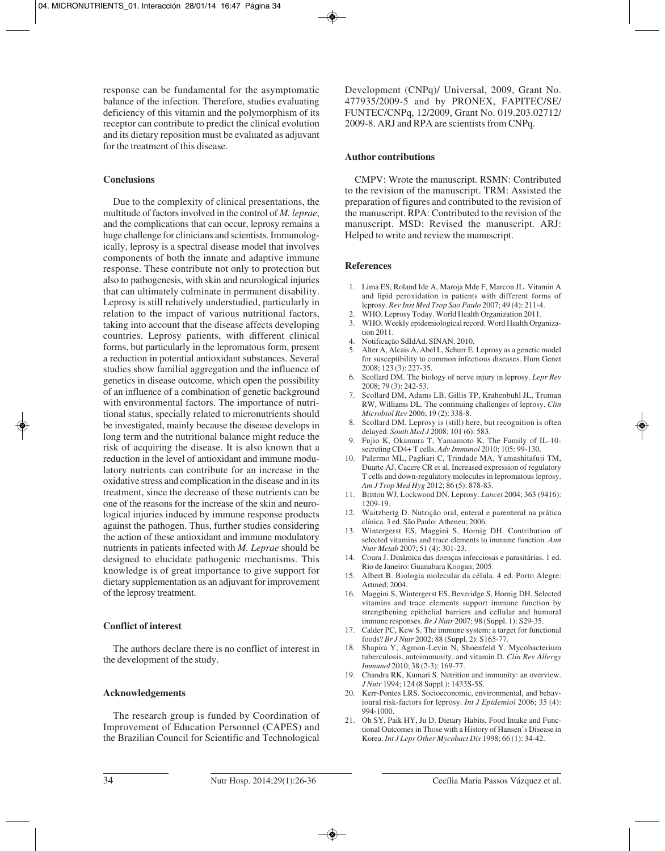response can be fundamental for the asymptomatic balance of the infection. Therefore, studies evaluating deficiency of this vitamin and the polymorphism of its receptor can contribute to predict the clinical evolution and its dietary reposition must be evaluated as adjuvant for the treatment of this disease.

## **Conclusions**

Due to the complexity of clinical presentations, the multitude of factors involved in the control of *M. leprae*, and the complications that can occur, leprosy remains a huge challenge for clinicians and scientists. Immunologically, leprosy is a spectral disease model that involves components of both the innate and adaptive immune response. These contribute not only to protection but also to pathogenesis, with skin and neurological injuries that can ultimately culminate in permanent disability. Leprosy is still relatively understudied, particularly in relation to the impact of various nutritional factors, taking into account that the disease affects developing countries. Leprosy patients, with different clinical forms, but particularly in the lepromatous form, present a reduction in potential antioxidant substances. Several studies show familial aggregation and the influence of genetics in disease outcome, which open the possibility of an influence of a combination of genetic background with environmental factors. The importance of nutritional status, specially related to micronutrients should be investigated, mainly because the disease develops in long term and the nutritional balance might reduce the risk of acquiring the disease. It is also known that a reduction in the level of antioxidant and immune modulatory nutrients can contribute for an increase in the oxidative stress and complication in the disease and in its treatment, since the decrease of these nutrients can be one of the reasons for the increase of the skin and neurological injuries induced by immune response products against the pathogen. Thus, further studies considering the action of these antioxidant and immune modulatory nutrients in patients infected with *M. Leprae* should be designed to elucidate pathogenic mechanisms. This knowledge is of great importance to give support for dietary supplementation as an adjuvant for improvement of the leprosy treatment.

# **Conflict of interest**

The authors declare there is no conflict of interest in the development of the study.

# **Acknowledgements**

The research group is funded by Coordination of Improvement of Education Personnel (CAPES) and the Brazilian Council for Scientific and Technological

Development (CNPq)/ Universal, 2009, Grant No. 477935/2009-5 and by PRONEX, FAPITEC/SE/ FUNTEC/CNPq, 12/2009, Grant No. 019.203.02712/ 2009-8. ARJ and RPA are scientists from CNPq.

## **Author contributions**

CMPV: Wrote the manuscript. RSMN: Contributed to the revision of the manuscript. TRM: Assisted the preparation of figures and contributed to the revision of the manuscript. RPA: Contributed to the revision of the manuscript. MSD: Revised the manuscript. ARJ: Helped to write and review the manuscript.

## **References**

- 1. Lima ES, Roland Ide A, Maroja Mde F, Marcon JL. Vitamin A and lipid peroxidation in patients with different forms of leprosy. *Rev Inst Med Trop Sao Paulo* 2007; 49 (4): 211-4.
- 2. WHO. Leprosy Today. World Health Organization 2011.
- 3. WHO. Weekly epidemiological record. Word Health Organization 2011.
- 4. Notificação SdIdAd. SINAN. 2010.
- 5. Alter A, Alcais A, Abel L, Schurr E. Leprosy as a genetic model for susceptibility to common infectious diseases. Hum Genet 2008; 123 (3): 227-35.
- 6. Scollard DM. The biology of nerve injury in leprosy. *Lepr Rev* 2008; 79 (3): 242-53.
- 7. Scollard DM, Adams LB, Gillis TP, Krahenbuhl JL, Truman RW, Williams DL. The continuing challenges of leprosy. *Clin Microbiol Rev* 2006; 19 (2): 338-8.
- 8. Scollard DM. Leprosy is (still) here, but recognition is often delayed. *South Med J* 2008; 101 (6): 583.
- 9. Fujio K, Okamura T, Yamamoto K. The Family of IL-10 secreting CD4+ T cells. *Adv Immunol* 2010; 105: 99-130.
- 10. Palermo ML, Pagliari C, Trindade MA, Yamashitafuji TM, Duarte AJ, Cacere CR et al. Increased expression of regulatory T cells and down-regulatory molecules in lepromatous leprosy. *Am J Trop Med Hyg* 2012; 86 (5): 878-83.
- 11. Britton WJ, Lockwood DN. Leprosy. *Lancet* 2004; 363 (9416): 1209-19.
- 12. Waitzbertg D. Nutrição oral, enteral e parenteral na prática clínica. 3 ed. São Paulo: Atheneu; 2006.
- 13. Wintergerst ES, Maggini S, Hornig DH. Contribution of selected vitamins and trace elements to immune function. *Ann Nutr Metab* 2007; 51 (4): 301-23.
- 14. Coura J. Dinâmica das doenças infecciosas e parasitárias. 1 ed. Rio de Janeiro: Guanabara Koogan; 2005.
- 15. Albert B. Biologia molecular da célula. 4 ed. Porto Alegre: Artmed; 2004.
- 16. Maggini S, Wintergerst ES, Beveridge S, Hornig DH. Selected vitamins and trace elements support immune function by strengthening epithelial barriers and cellular and humoral immune responses. *Br J Nutr* 2007; 98 (Suppl. 1): S29-35.
- 17. Calder PC, Kew S. The immune system: a target for functional foods? *Br J Nutr* 2002; 88 (Suppl. 2): S165-77.
- 18. Shapira Y, Agmon-Levin N, Shoenfeld Y. Mycobacterium tuberculosis, autoimmunity, and vitamin D. *Clin Rev Allergy Immunol* 2010; 38 (2-3): 169-77.
- 19. Chandra RK, Kumari S. Nutrition and immunity: an overview. *J Nutr* 1994; 124 (8 Suppl.): 1433S-5S.
- 20. Kerr-Pontes LRS. Socioeconomic, environmental, and behavioural risk-factors for leprosy. *Int J Epidemiol* 2006; 35 (4): 994-1000.
- 21. Oh SY, Paik HY, Ju D. Dietary Habits, Food Intake and Functional Outcomes in Those with a History of Hansen's Disease in Korea. *Int J Lepr Other Mycobact Dis* 1998; 66 (1): 34-42.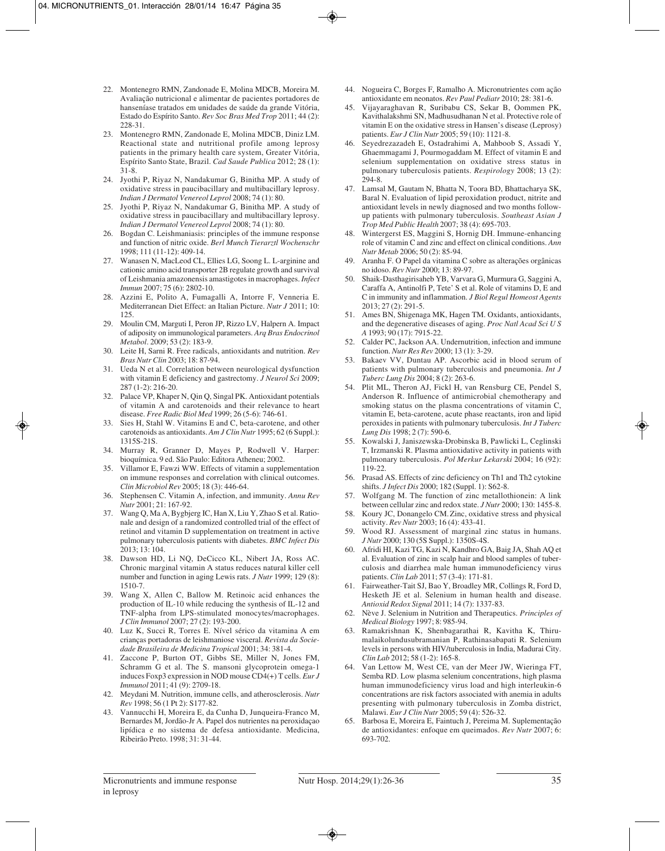- 22. Montenegro RMN, Zandonade E, Molina MDCB, Moreira M. Avaliação nutricional e alimentar de pacientes portadores de hanseníase tratados em unidades de saúde da grande Vitória, Estado do Espírito Santo. *Rev Soc Bras Med Trop* 2011; 44 (2): 228-31.
- 23. Montenegro RMN, Zandonade E, Molina MDCB, Diniz LM. Reactional state and nutritional profile among leprosy patients in the primary health care system, Greater Vitória, Espírito Santo State, Brazil. *Cad Saude Publica* 2012; 28 (1): 31-8.
- 24. Jyothi P, Riyaz N, Nandakumar G, Binitha MP. A study of oxidative stress in paucibacillary and multibacillary leprosy. *Indian J Dermatol Venereol Leprol* 2008; 74 (1): 80.
- 25. Jyothi P, Riyaz N, Nandakumar G, Binitha MP. A study of oxidative stress in paucibacillary and multibacillary leprosy. *Indian J Dermatol Venereol Leprol* 2008; 74 (1): 80.
- 26. Bogdan C. Leishmaniasis: principles of the immune response and function of nitric oxide. *Berl Munch Tierarztl Wochenschr* 1998; 111 (11-12): 409-14.
- 27. Wanasen N, MacLeod CL, Ellies LG, Soong L. L-arginine and cationic amino acid transporter 2B regulate growth and survival of Leishmania amazonensis amastigotes in macrophages. *Infect Immun* 2007; 75 (6): 2802-10.
- 28. Azzini E, Polito A, Fumagalli A, Intorre F, Venneria E. Mediterranean Diet Effect: an Italian Picture. *Nutr J* 2011; 10: 125.
- 29. Moulin CM, Marguti I, Peron JP, Rizzo LV, Halpern A. Impact of adiposity on immunological parameters. *Arq Bras Endocrinol Metabol*. 2009; 53 (2): 183-9.
- 30. Leite H, Sarni R. Free radicals, antioxidants and nutrition. *Rev Bras Nutr Clin* 2003; 18: 87-94.
- 31. Ueda N et al. Correlation between neurological dysfunction with vitamin E deficiency and gastrectomy. *J Neurol Sci* 2009; 287 (1-2): 216-20.
- 32. Palace VP, Khaper N, Qin Q, Singal PK. Antioxidant potentials of vitamin A and carotenoids and their relevance to heart disease. *Free Radic Biol Med* 1999; 26 (5-6): 746-61.
- 33. Sies H, Stahl W. Vitamins E and C, beta-carotene, and other carotenoids as antioxidants. *Am J Clin Nutr* 1995; 62 (6 Suppl.): 1315S-21S.
- 34. Murray R, Granner D, Mayes P, Rodwell V. Harper: bioquímica. 9 ed. São Paulo: Editora Atheneu; 2002.
- 35. Villamor E, Fawzi WW. Effects of vitamin a supplementation on immune responses and correlation with clinical outcomes. *Clin Microbiol Rev* 2005; 18 (3): 446-64.
- 36. Stephensen C. Vitamin A, infection, and immunity. *Annu Rev Nutr* 2001; 21: 167-92.
- 37. Wang Q, Ma A, Bygbjerg IC, Han X, Liu Y, Zhao S et al. Rationale and design of a randomized controlled trial of the effect of retinol and vitamin D supplementation on treatment in active pulmonary tuberculosis patients with diabetes. *BMC Infect Dis* 2013; 13: 104.
- 38. Dawson HD, Li NQ, DeCicco KL, Nibert JA, Ross AC. Chronic marginal vitamin A status reduces natural killer cell number and function in aging Lewis rats. *J Nutr* 1999; 129 (8): 1510-7.
- 39. Wang X, Allen C, Ballow M. Retinoic acid enhances the production of IL-10 while reducing the synthesis of IL-12 and TNF-alpha from LPS-stimulated monocytes/macrophages. *J Clin Immunol* 2007; 27 (2): 193-200.
- 40. Luz K, Succi R, Torres E. Nível sérico da vitamina A em crianças portadoras de leishmaniose visceral. *Revista da Sociedade Brasileira de Medicina Tropical* 2001; 34: 381-4.
- 41. Zaccone P, Burton OT, Gibbs SE, Miller N, Jones FM, Schramm G et al. The S. mansoni glycoprotein omega-1 induces Foxp3 expression in NOD mouse CD4(+) T cells. *Eur J Immunol* 2011; 41 (9): 2709-18.
- 42. Meydani M. Nutrition, immune cells, and atherosclerosis. *Nutr Rev* 1998; 56 (1 Pt 2): S177-82.
- 43. Vannucchi H, Moreira E, da Cunha D, Junqueira-Franco M, Bernardes M, Jordão-Jr A. Papel dos nutrientes na peroxidaçao lipídica e no sistema de defesa antioxidante. Medicina, Ribeirão Preto. 1998; 31: 31-44.
- 44. Nogueira C, Borges F, Ramalho A. Micronutrientes com ação antioxidante em neonatos. *Rev Paul Pediatr* 2010; 28: 381-6.
- 45. Vijayaraghavan R, Suribabu CS, Sekar B, Oommen PK, Kavithalakshmi SN, Madhusudhanan N et al. Protective role of vitamin E on the oxidative stress in Hansen's disease (Leprosy) patients. *Eur J Clin Nutr* 2005; 59 (10): 1121-8.
- 46. Seyedrezazadeh E, Ostadrahimi A, Mahboob S, Assadi Y, Ghaemmagami J, Pourmogaddam M. Effect of vitamin E and selenium supplementation on oxidative stress status in pulmonary tuberculosis patients. *Respirology* 2008; 13 (2): 294-8.
- 47. Lamsal M, Gautam N, Bhatta N, Toora BD, Bhattacharya SK, Baral N. Evaluation of lipid peroxidation product, nitrite and antioxidant levels in newly diagnosed and two months followup patients with pulmonary tuberculosis. *Southeast Asian J Trop Med Public Health* 2007; 38 (4): 695-703.
- 48. Wintergerst ES, Maggini S, Hornig DH. Immune-enhancing role of vitamin C and zinc and effect on clinical conditions. *Ann Nutr Metab* 2006; 50 (2): 85-94.
- 49. Aranha F. O Papel da vitamina C sobre as alterações orgânicas no idoso. *Rev Nutr* 2000; 13: 89-97.
- 50. Shaik-Dasthagirisaheb YB, Varvara G, Murmura G, Saggini A, Caraffa A, Antinolfi P, Tete' S et al. Role of vitamins D, E and C in immunity and inflammation. *J Biol Regul Homeost Agents* 2013; 27 (2): 291-5.
- 51. Ames BN, Shigenaga MK, Hagen TM. Oxidants, antioxidants, and the degenerative diseases of aging. *Proc Natl Acad Sci U S A* 1993; 90 (17): 7915-22.
- 52. Calder PC, Jackson AA. Undernutrition, infection and immune function. *Nutr Res Rev* 2000; 13 (1): 3-29.
- 53. Bakaev VV, Duntau AP. Ascorbic acid in blood serum of patients with pulmonary tuberculosis and pneumonia. *Int J Tuberc Lung Dis* 2004; 8 (2): 263-6.
- 54. Plit ML, Theron AJ, Fickl H, van Rensburg CE, Pendel S, Anderson R. Influence of antimicrobial chemotherapy and smoking status on the plasma concentrations of vitamin C, vitamin E, beta-carotene, acute phase reactants, iron and lipid peroxides in patients with pulmonary tuberculosis. *Int J Tuberc Lung Dis* 1998; 2 (7): 590-6.
- 55. Kowalski J, Janiszewska-Drobinska B, Pawlicki L, Ceglinski T, Irzmanski R. Plasma antioxidative activity in patients with pulmonary tuberculosis. *Pol Merkur Lekarski* 2004; 16 (92): 119-22.
- 56. Prasad AS. Effects of zinc deficiency on Th1 and Th2 cytokine shifts. *J Infect Dis* 2000; 182 (Suppl. 1): S62-8.
- 57. Wolfgang M. The function of zinc metallothionein: A link between cellular zinc and redox state. *J Nutr* 2000; 130: 1455-8.
- 58. Koury JC, Donangelo CM. Zinc, oxidative stress and physical activity. *Rev Nutr* 2003; 16 (4): 433-41.
- 59. Wood RJ. Assessment of marginal zinc status in humans. *J Nutr* 2000; 130 (5S Suppl.): 1350S-4S.
- 60. Afridi HI, Kazi TG, Kazi N, Kandhro GA, Baig JA, Shah AQ et al. Evaluation of zinc in scalp hair and blood samples of tuberculosis and diarrhea male human immunodeficiency virus patients. *Clin Lab* 2011; 57 (3-4): 171-81.
- 61. Fairweather-Tait SJ, Bao Y, Broadley MR, Collings R, Ford D, Hesketh JE et al. Selenium in human health and disease. *Antioxid Redox Signal* 2011; 14 (7): 1337-83.
- 62. Nève J. Selenium in Nutrition and Therapeutics. *Principles of Medical Biology* 1997; 8: 985-94.
- 63. Ramakrishnan K, Shenbagarathai R, Kavitha K, Thirumalaikolundusubramanian P, Rathinasabapati R. Selenium levels in persons with HIV/tuberculosis in India, Madurai City. *Clin Lab* 2012; 58 (1-2): 165-8.
- 64. Van Lettow M, West CE, van der Meer JW, Wieringa FT, Semba RD. Low plasma selenium concentrations, high plasma human immunodeficiency virus load and high interleukin-6 concentrations are risk factors associated with anemia in adults presenting with pulmonary tuberculosis in Zomba district, Malawi. *Eur J Clin Nutr* 2005; 59 (4): 526-32.
- 65. Barbosa E, Moreira E, Faintuch J, Pereima M. Suplementação de antioxidantes: enfoque em queimados. *Rev Nutr* 2007; 6: 693-702.